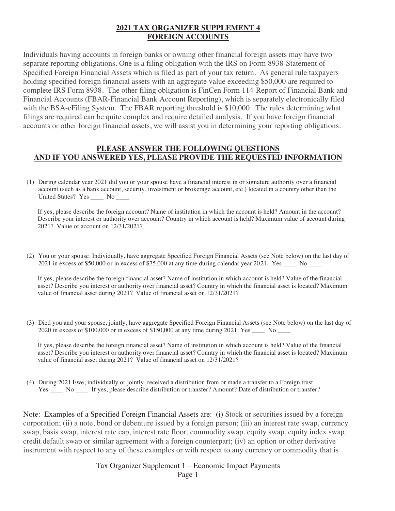## **2021 TAX ORGANIZER SUPPLEMENT 4 FOREIGN ACCOUNTS**

Individuals having accounts in foreign banks or owning other financial foreign assets may have two separate reporting obligations. One is a filing obligation with the IRS on Form 8938-Statement of Specified Foreign Financial Assets which is filed as part of your tax return. As general rule taxpayers holding specified foreign financial assets with an aggregate value exceeding \$50,000 are required to complete IRS Form 8938. The other filing obligation is FinCen Form 114-Report of Financial Bank and Financial Accounts (FBAR-Financial Bank Account Reporting), which is separately electronically filed with the BSA-eFiling System. The FBAR reporting threshold is \$10,000. The rules determining what filings are required can be quite complex and require detailed analysis. If you have foreign financial accounts or other foreign financial assets, we will assist you in determining your reporting obligations.

## **PLEASE ANSWER THE FOLLOWING QUESTIONS AND IF YOU ANSWERED YES, PLEASE PROVIDE THE REQUESTED INFORMATION**

(1) During calendar year 2021 did you or your spouse have a financial interest in or signature authority over a financial account (such as a bank account, security, investment or brokerage account, etc.) located in a country other than the United States? Yes No

If yes, please describe the foreign account? Name of institution in which the account is held? Amount in the account? Describe your interest or authority over account? Country in which account is held? Maximum value of account during 2021? Value of account on 12/31/2021?

(2) You or your spouse. Individually, have aggregate Specified Foreign Financial Assets (see Note below) on the last day of 2021 in excess of \$50,000 or in excess of \$75,000 at any time during calendar year 2021**.** Yes \_\_\_\_ No \_\_\_\_

If yes, please describe the foreign financial asset? Name of institution in which account is held? Value of the financial asset? Describe you interest or authority over financial asset? Country in which the financial asset is located? Maximum value of financial asset during 2021? Value of financial asset on 12/31/2021?

(3) Died you and your spouse, jointly, have aggregate Specified Foreign Financial Assets (see Note below) on the last day of 2020 in excess of \$100,000 or in excess of \$150,000 at any time during 2021. Yes \_\_\_\_ No \_\_\_\_

If yes, please describe the foreign financial asset? Name of institution in which account is held? Value of the financial asset? Describe you interest or authority over financial asset? Country in which the financial asset is located? Maximum value of financial asset during 2021? Value of financial asset on 12/31/2021?

(4) During 2021 I/we, individually or jointly, received a distribution from or made a transfer to a Foreign trust. Yes \_\_\_\_ No \_\_\_\_ If yes, please describe distribution or transfer? Amount? Date of distribution or transfer?

Note: Examples of a Specified Foreign Financial Assets are: (i) Stock or securities issued by a foreign corporation; (ii) a note, bond or debenture issued by a foreign person; (iii) an interest rate swap, currency swap, basis swap, interest rate cap, interest rate floor, commodity swap, equity swap, equity index swap, credit default swap or similar agreement with a foreign counterpart; (iv) an option or other derivative instrument with respect to any of these examples or with respect to any currency or commodity that is

> Tax Organizer Supplement 1 – Economic Impact Payments Page 1